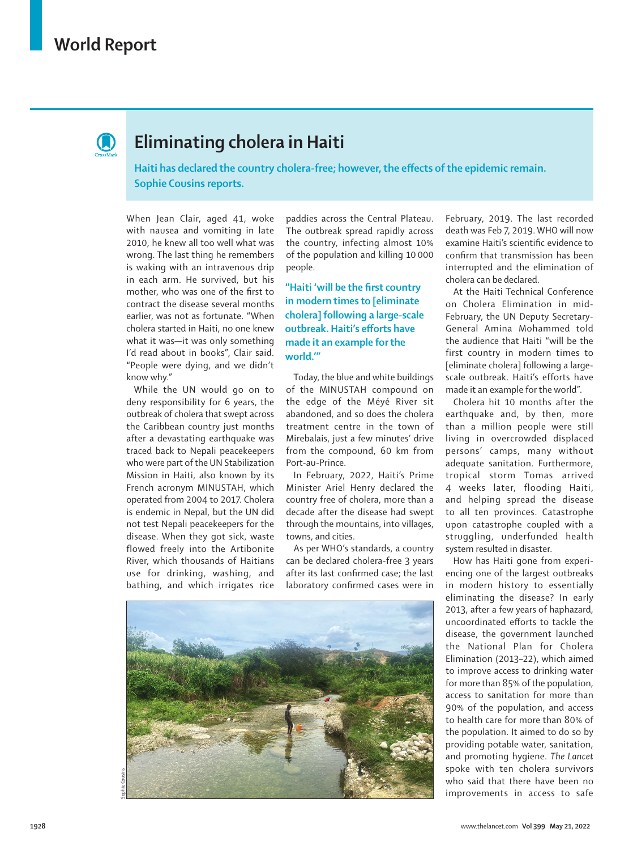

## **Eliminating cholera in Haiti**

**Haiti has declared the country cholera-free; however, the effects of the epidemic remain. Sophie Cousins reports.**

When Jean Clair, aged 41, woke with nausea and vomiting in late 2010, he knew all too well what was wrong. The last thing he remembers is waking with an intravenous drip in each arm. He survived, but his mother, who was one of the first to contract the disease several months earlier, was not as fortunate. "When cholera started in Haiti, no one knew what it was—it was only something I'd read about in books", Clair said. "People were dying, and we didn't know why."

While the UN would go on to deny responsibility for 6 years, the outbreak of cholera that swept across the Caribbean country just months after a devastating earthquake was traced back to Nepali peacekeepers who were part of the UN Stabilization Mission in Haiti, also known by its French acronym MINUSTAH, which operated from 2004 to 2017. Cholera is endemic in Nepal, but the UN did not test Nepali peacekeepers for the disease. When they got sick, waste flowed freely into the Artibonite River, which thousands of Haitians use for drinking, washing, and bathing, and which irrigates rice

paddies across the Central Plateau. The outbreak spread rapidly across the country, infecting almost 10% of the population and killing 10 000 people.

**"Haiti 'will be the first country in modern times to [eliminate cholera] following a large-scale outbreak. Haiti's efforts have made it an example for the world.'"**

Today, the blue and white buildings of the MINUSTAH compound on the edge of the Méyé River sit abandoned, and so does the cholera treatment centre in the town of Mirebalais, just a few minutes' drive from the compound, 60 km from Port-au-Prince.

In February, 2022, Haiti's Prime Minister Ariel Henry declared the country free of cholera, more than a decade after the disease had swept through the mountains, into villages, towns, and cities.

As per WHO's standards, a country can be declared cholera-free 3 years after its last confirmed case; the last laboratory confirmed cases were in



February, 2019. The last recorded death was Feb 7, 2019. WHO will now examine Haiti's scientific evidence to confirm that transmission has been interrupted and the elimination of cholera can be declared.

At the Haiti Technical Conference on Cholera Elimination in mid-February, the UN Deputy Secretary-General Amina Mohammed told the audience that Haiti "will be the first country in modern times to [eliminate cholera] following a largescale outbreak. Haiti's efforts have made it an example for the world".

Cholera hit 10 months after the earthquake and, by then, more than a million people were still living in overcrowded displaced persons' camps, many without adequate sanitation. Furthermore, tropical storm Tomas arrived 4 weeks later, flooding Haiti, and helping spread the disease to all ten provinces. Catastrophe upon catastrophe coupled with a struggling, underfunded health system resulted in disaster.

How has Haiti gone from experiencing one of the largest outbreaks in modern history to essentially eliminating the disease? In early 2013, after a few years of haphazard, uncoordinated efforts to tackle the disease, the government launched the National Plan for Cholera Elimination (2013–22), which aimed to improve access to drinking water for more than 85% of the population, access to sanitation for more than 90% of the population, and access to health care for more than 80% of the population. It aimed to do so by providing potable water, sanitation, and promoting hygiene. *The Lancet* spoke with ten cholera survivors who said that there have been no improvements in access to safe